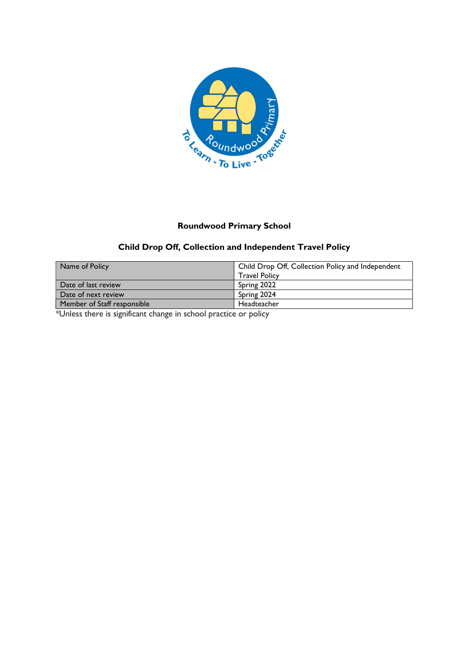

## Roundwood Primary School

## Child Drop Off, Collection and Independent Travel Policy

| Name of Policy              | Child Drop Off, Collection Policy and Independent |  |
|-----------------------------|---------------------------------------------------|--|
|                             | <b>Travel Policy</b>                              |  |
| Date of last review         | Spring 2022                                       |  |
| Date of next review         | Spring 2024                                       |  |
| Member of Staff responsible | Headteacher                                       |  |

\*Unless there is significant change in school practice or policy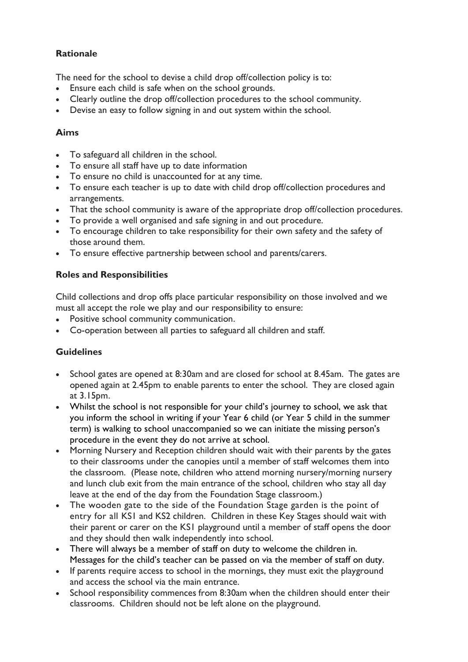## Rationale

The need for the school to devise a child drop off/collection policy is to:

- Ensure each child is safe when on the school grounds.
- Clearly outline the drop off/collection procedures to the school community.
- Devise an easy to follow signing in and out system within the school.

### Aims

- To safeguard all children in the school.
- To ensure all staff have up to date information
- To ensure no child is unaccounted for at any time.
- To ensure each teacher is up to date with child drop off/collection procedures and arrangements.
- That the school community is aware of the appropriate drop off/collection procedures.
- To provide a well organised and safe signing in and out procedure.
- To encourage children to take responsibility for their own safety and the safety of those around them.
- To ensure effective partnership between school and parents/carers.

## Roles and Responsibilities

Child collections and drop offs place particular responsibility on those involved and we must all accept the role we play and our responsibility to ensure:

- Positive school community communication.
- Co-operation between all parties to safeguard all children and staff.

## **Guidelines**

- School gates are opened at 8:30am and are closed for school at 8.45am. The gates are opened again at 2.45pm to enable parents to enter the school. They are closed again at 3.15pm.
- Whilst the school is not responsible for your child's journey to school, we ask that you inform the school in writing if your Year 6 child (or Year 5 child in the summer term) is walking to school unaccompanied so we can initiate the missing person's procedure in the event they do not arrive at school.
- Morning Nursery and Reception children should wait with their parents by the gates to their classrooms under the canopies until a member of staff welcomes them into the classroom. (Please note, children who attend morning nursery/morning nursery and lunch club exit from the main entrance of the school, children who stay all day leave at the end of the day from the Foundation Stage classroom.)
- The wooden gate to the side of the Foundation Stage garden is the point of entry for all KS1 and KS2 children. Children in these Key Stages should wait with their parent or carer on the KS1 playground until a member of staff opens the door and they should then walk independently into school.
- There will always be a member of staff on duty to welcome the children in. Messages for the child's teacher can be passed on via the member of staff on duty.
- If parents require access to school in the mornings, they must exit the playground and access the school via the main entrance.
- School responsibility commences from 8:30am when the children should enter their classrooms. Children should not be left alone on the playground.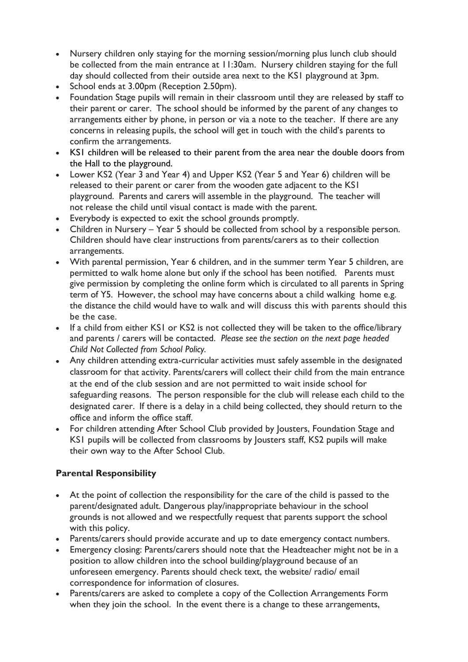- Nursery children only staying for the morning session/morning plus lunch club should be collected from the main entrance at 11:30am. Nursery children staying for the full day should collected from their outside area next to the KS1 playground at 3pm.
- School ends at 3.00pm (Reception 2.50pm).
- Foundation Stage pupils will remain in their classroom until they are released by staff to their parent or carer. The school should be informed by the parent of any changes to arrangements either by phone, in person or via a note to the teacher. If there are any concerns in releasing pupils, the school will get in touch with the child's parents to confirm the arrangements.
- KS1 children will be released to their parent from the area near the double doors from the Hall to the playground.
- Lower KS2 (Year 3 and Year 4) and Upper KS2 (Year 5 and Year 6) children will be released to their parent or carer from the wooden gate adjacent to the KS1 playground. Parents and carers will assemble in the playground. The teacher will not release the child until visual contact is made with the parent.
- Everybody is expected to exit the school grounds promptly.
- Children in Nursery Year 5 should be collected from school by a responsible person. Children should have clear instructions from parents/carers as to their collection arrangements.
- With parental permission, Year 6 children, and in the summer term Year 5 children, are permitted to walk home alone but only if the school has been notified. Parents must give permission by completing the online form which is circulated to all parents in Spring term of Y5. However, the school may have concerns about a child walking home e.g. the distance the child would have to walk and will discuss this with parents should this be the case.
- If a child from either KS1 or KS2 is not collected they will be taken to the office/library and parents / carers will be contacted. Please see the section on the next page headed Child Not Collected from School Policy.
- Any children attending extra-curricular activities must safely assemble in the designated classroom for that activity. Parents/carers will collect their child from the main entrance at the end of the club session and are not permitted to wait inside school for safeguarding reasons. The person responsible for the club will release each child to the designated carer. If there is a delay in a child being collected, they should return to the office and inform the office staff.
- For children attending After School Club provided by Jousters, Foundation Stage and KS1 pupils will be collected from classrooms by Jousters staff, KS2 pupils will make their own way to the After School Club.

## Parental Responsibility

- At the point of collection the responsibility for the care of the child is passed to the parent/designated adult. Dangerous play/inappropriate behaviour in the school grounds is not allowed and we respectfully request that parents support the school with this policy.
- Parents/carers should provide accurate and up to date emergency contact numbers.
- Emergency closing: Parents/carers should note that the Headteacher might not be in a position to allow children into the school building/playground because of an unforeseen emergency. Parents should check text, the website/ radio/ email correspondence for information of closures.
- Parents/carers are asked to complete a copy of the Collection Arrangements Form when they join the school. In the event there is a change to these arrangements,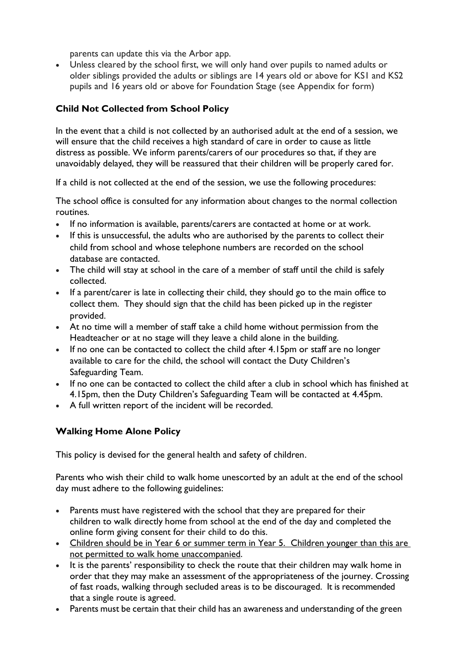parents can update this via the Arbor app.

 Unless cleared by the school first, we will only hand over pupils to named adults or older siblings provided the adults or siblings are 14 years old or above for KS1 and KS2 pupils and 16 years old or above for Foundation Stage (see Appendix for form)

## Child Not Collected from School Policy

In the event that a child is not collected by an authorised adult at the end of a session, we will ensure that the child receives a high standard of care in order to cause as little distress as possible. We inform parents/carers of our procedures so that, if they are unavoidably delayed, they will be reassured that their children will be properly cared for.

If a child is not collected at the end of the session, we use the following procedures:

The school office is consulted for any information about changes to the normal collection routines.

- If no information is available, parents/carers are contacted at home or at work.
- If this is unsuccessful, the adults who are authorised by the parents to collect their child from school and whose telephone numbers are recorded on the school database are contacted.
- The child will stay at school in the care of a member of staff until the child is safely collected.
- If a parent/carer is late in collecting their child, they should go to the main office to collect them. They should sign that the child has been picked up in the register provided.
- At no time will a member of staff take a child home without permission from the Headteacher or at no stage will they leave a child alone in the building.
- If no one can be contacted to collect the child after 4.15pm or staff are no longer available to care for the child, the school will contact the Duty Children's Safeguarding Team.
- If no one can be contacted to collect the child after a club in school which has finished at 4.15pm, then the Duty Children's Safeguarding Team will be contacted at 4.45pm.
- A full written report of the incident will be recorded.

#### Walking Home Alone Policy

This policy is devised for the general health and safety of children.

Parents who wish their child to walk home unescorted by an adult at the end of the school day must adhere to the following guidelines:

- Parents must have registered with the school that they are prepared for their children to walk directly home from school at the end of the day and completed the online form giving consent for their child to do this.
- Children should be in Year 6 or summer term in Year 5. Children younger than this are not permitted to walk home unaccompanied.
- It is the parents' responsibility to check the route that their children may walk home in order that they may make an assessment of the appropriateness of the journey. Crossing of fast roads, walking through secluded areas is to be discouraged. It is recommended that a single route is agreed.
- Parents must be certain that their child has an awareness and understanding of the green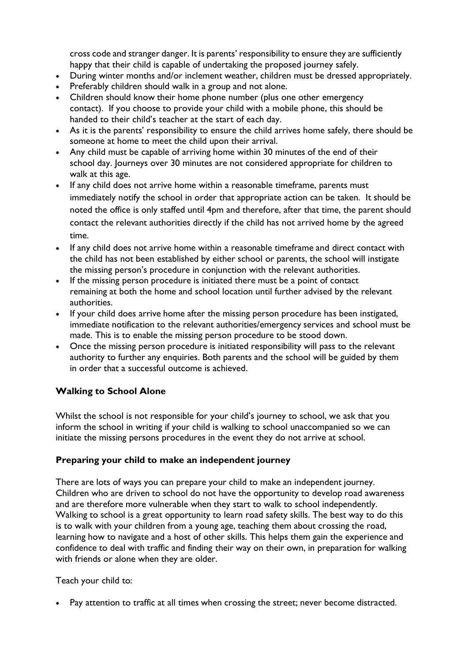cross code and stranger danger. It is parents' responsibility to ensure they are sufficiently happy that their child is capable of undertaking the proposed journey safely.

- During winter months and/or inclement weather, children must be dressed appropriately.
- Preferably children should walk in a group and not alone.
- Children should know their home phone number (plus one other emergency contact). If you choose to provide your child with a mobile phone, this should be handed to their child's teacher at the start of each day.
- As it is the parents' responsibility to ensure the child arrives home safely, there should be someone at home to meet the child upon their arrival.
- Any child must be capable of arriving home within 30 minutes of the end of their school day. Journeys over 30 minutes are not considered appropriate for children to walk at this age.
- If any child does not arrive home within a reasonable timeframe, parents must immediately notify the school in order that appropriate action can be taken. It should be noted the office is only staffed until 4pm and therefore, after that time, the parent should contact the relevant authorities directly if the child has not arrived home by the agreed time.
- If any child does not arrive home within a reasonable timeframe and direct contact with the child has not been established by either school or parents, the school will instigate the missing person's procedure in conjunction with the relevant authorities.
- If the missing person procedure is initiated there must be a point of contact remaining at both the home and school location until further advised by the relevant authorities.
- If your child does arrive home after the missing person procedure has been instigated, immediate notification to the relevant authorities/emergency services and school must be made. This is to enable the missing person procedure to be stood down.
- Once the missing person procedure is initiated responsibility will pass to the relevant authority to further any enquiries. Both parents and the school will be guided by them in order that a successful outcome is achieved.

## Walking to School Alone

Whilst the school is not responsible for your child's journey to school, we ask that you inform the school in writing if your child is walking to school unaccompanied so we can initiate the missing persons procedures in the event they do not arrive at school.

#### Preparing your child to make an independent journey

There are lots of ways you can prepare your child to make an independent journey. Children who are driven to school do not have the opportunity to develop road awareness and are therefore more vulnerable when they start to walk to school independently. Walking to school is a great opportunity to learn road safety skills. The best way to do this is to walk with your children from a young age, teaching them about crossing the road, learning how to navigate and a host of other skills. This helps them gain the experience and confidence to deal with traffic and finding their way on their own, in preparation for walking with friends or alone when they are older.

#### Teach your child to:

Pay attention to traffic at all times when crossing the street; never become distracted.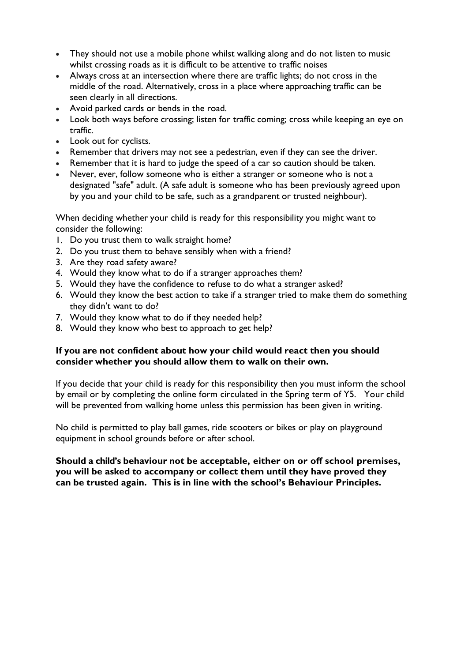- They should not use a mobile phone whilst walking along and do not listen to music whilst crossing roads as it is difficult to be attentive to traffic noises
- Always cross at an intersection where there are traffic lights; do not cross in the middle of the road. Alternatively, cross in a place where approaching traffic can be seen clearly in all directions.
- Avoid parked cards or bends in the road.
- Look both ways before crossing; listen for traffic coming; cross while keeping an eye on traffic.
- Look out for cyclists.
- Remember that drivers may not see a pedestrian, even if they can see the driver.
- Remember that it is hard to judge the speed of a car so caution should be taken.
- Never, ever, follow someone who is either a stranger or someone who is not a designated "safe" adult. (A safe adult is someone who has been previously agreed upon by you and your child to be safe, such as a grandparent or trusted neighbour).

When deciding whether your child is ready for this responsibility you might want to consider the following:

- 1. Do you trust them to walk straight home?
- 2. Do you trust them to behave sensibly when with a friend?
- 3. Are they road safety aware?
- 4. Would they know what to do if a stranger approaches them?
- 5. Would they have the confidence to refuse to do what a stranger asked?
- 6. Would they know the best action to take if a stranger tried to make them do something they didn't want to do?
- 7. Would they know what to do if they needed help?
- 8. Would they know who best to approach to get help?

#### If you are not confident about how your child would react then you should consider whether you should allow them to walk on their own.

If you decide that your child is ready for this responsibility then you must inform the school by email or by completing the online form circulated in the Spring term of Y5. Your child will be prevented from walking home unless this permission has been given in writing.

No child is permitted to play ball games, ride scooters or bikes or play on playground equipment in school grounds before or after school.

#### Should a child's behaviour not be acceptable, either on or off school premises, you will be asked to accompany or collect them until they have proved they can be trusted again. This is in line with the school's Behaviour Principles.